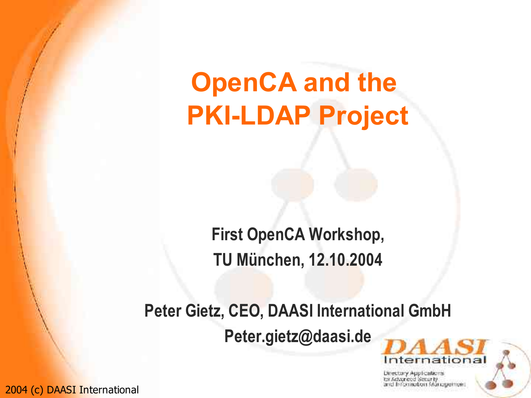# **OpenCA and the PKI-LDAP Project**

**First OpenCA Workshop, TU München, 12.10.2004**

**Peter Gietz, CEO, DAASI International GmbH Peter.gietz@daasi.de**

ind Information Management

International

Directory Applications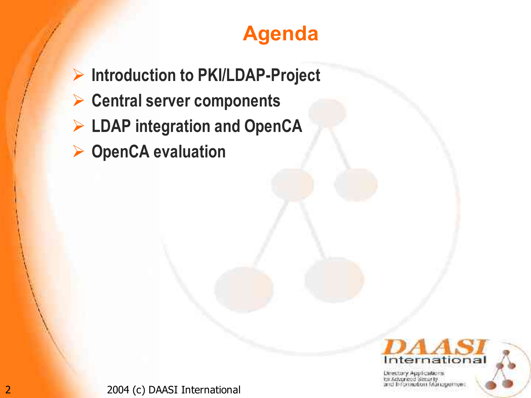## **Agenda**

- **Introduction to PKI/LDAP-Project**
- **Central server components**
- **LDAP integration and OpenCA**
- **OpenCA evaluation**



Directory Applications br Advanced Senarty and Information Management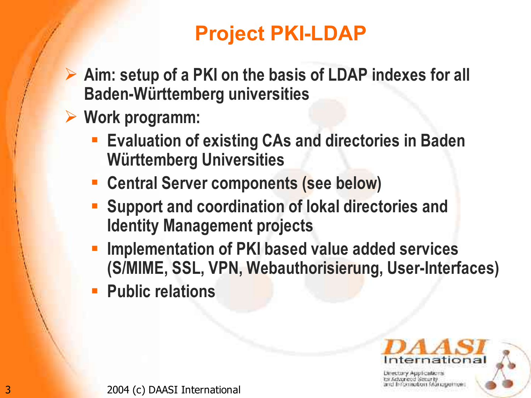# **Project PKI-LDAP**

- **Aim: setup of a PKI on the basis of LDAP indexes for all Baden-Württemberg universities**
- **Work programm:**
	- **Evaluation of existing CAs and directories in Baden Württemberg Universities**
	- **Central Server components (see below)**
	- **Support and coordination of lokal directories and Identity Management projects**
	- **Implementation of PKI based value added services (S/MIME, SSL, VPN, Webauthorisierung, User-Interfaces)**
	- **Public relations**



Directory Applications aton manauemen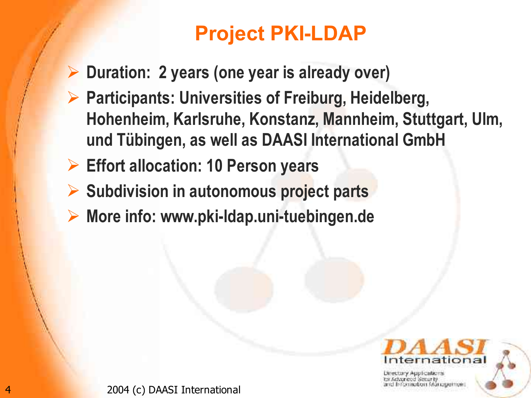# **Project PKI-LDAP**

- **Duration: 2 years (one year is already over)**
- **Participants: Universities of Freiburg, Heidelberg, Hohenheim, Karlsruhe, Konstanz, Mannheim, Stuttgart, Ulm, und Tübingen, as well as DAASI International GmbH**
- **Effort allocation: 10 Person years**
- **Subdivision in autonomous project parts**
- **More info: www.pki-ldap.uni-tuebingen.de**



aton Mandemein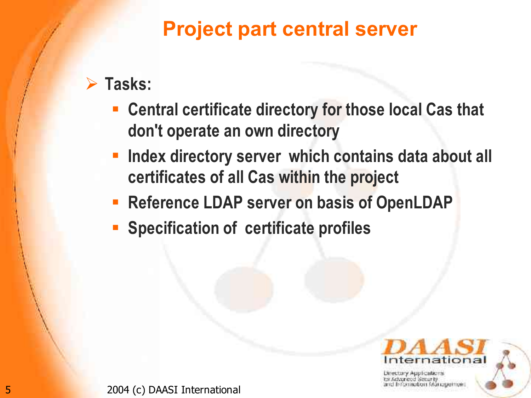#### **Project part central server**

#### **Tasks:**

- **Central certificate directory for those local Cas that don't operate an own directory**
- **Index directory server which contains data about all certificates of all Cas within the project**
- **Reference LDAP server on basis of OpenLDAP**
- **Specification of certificate profiles**

un Mandemein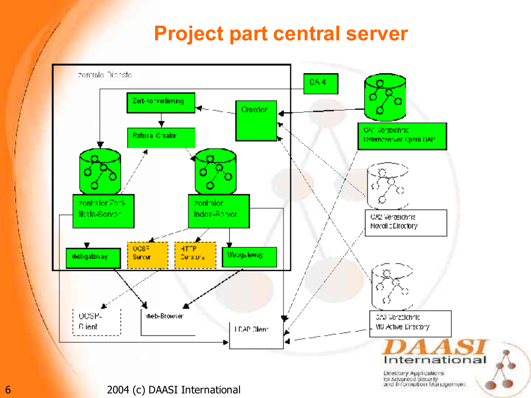#### **Project part central server**

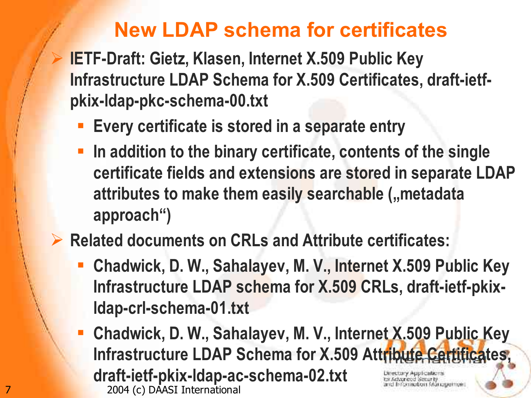#### **New LDAP schema for certificates**

 **IETF-Draft: Gietz, Klasen, Internet X.509 Public Key Infrastructure LDAP Schema for X.509 Certificates, draft-ietfpkix-ldap-pkc-schema-00.txt**

- **Every certificate is stored in a separate entry**
- **In addition to the binary certificate, contents of the single certificate fields and extensions are stored in separate LDAP attributes to make them easily searchable ("metadata approach")**

**Related documents on CRLs and Attribute certificates:**

- **Chadwick, D. W., Sahalayev, M. V., Internet X.509 Public Key Infrastructure LDAP schema for X.509 CRLs, draft-ietf-pkixldap-crl-schema-01.txt**
- **Chadwick, D. W., Sahalayev, M. V., Internet X.509 Public Key Infrastructure LDAP Schema for X.509 Attribute Certificates, draft-ietf-pkix-ldap-ac-schema-02.txt**этнашон манашентон. 7 2004 (c) DAASI International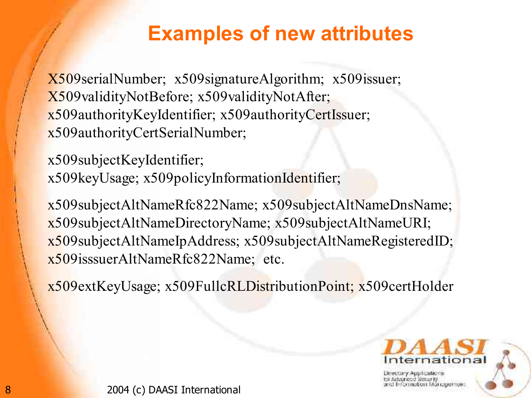#### **Examples of new attributes**

X509serialNumber; x509signatureAlgorithm; x509issuer; X509validityNotBefore; x509validityNotAfter; x509authorityKeyIdentifier; x509authorityCertIssuer; x509authorityCertSerialNumber;

x509subjectKeyIdentifier; x509keyUsage; x509policyInformationIdentifier;

x509subjectAltNameRfc822Name; x509subjectAltNameDnsName; x509subjectAltNameDirectoryName; x509subjectAltNameURI; x509subjectAltNameIpAddress; x509subjectAltNameRegisteredID; x509isssuerAltNameRfc822Name; etc.

x509extKeyUsage; x509FullcRLDistributionPoint; x509certHolder



Шессогу Аррісавета ematon Mangemen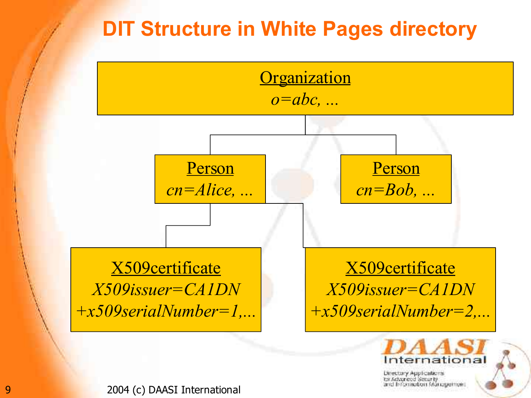## **DIT Structure in White Pages directory**



Directory Applications br Advanced Senarty and Information Management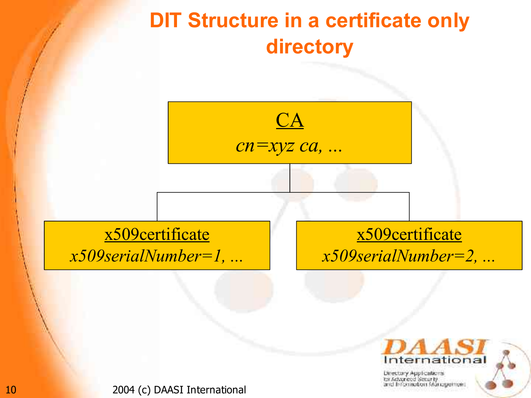

10 2004 (c) DAASI International

International Directory Applications tar Advanced Senarity and Information Management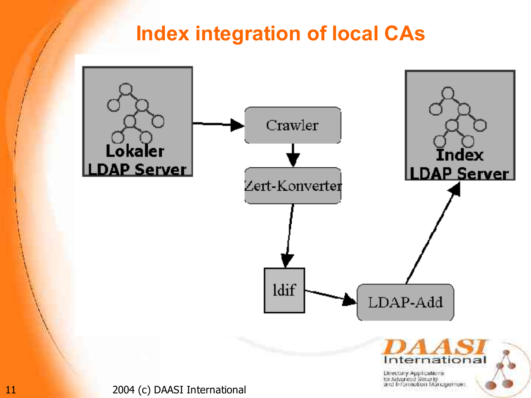#### **Index integration of local CAs**



Directory Applications<br>for Advanced Security<br>and Information Management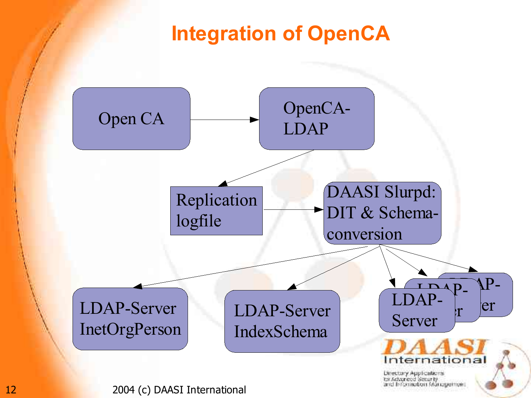#### **Integration of OpenCA**

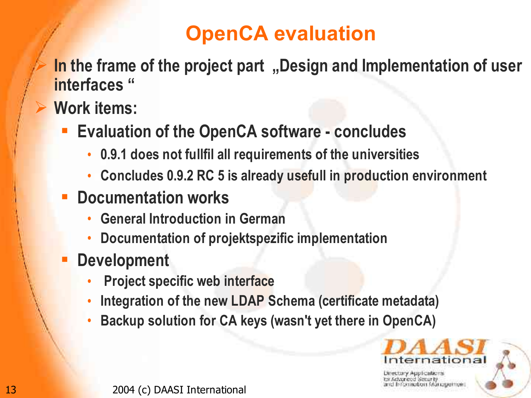# **OpenCA evaluation**

- **In the frame of the project part**, Design and Implementation of user **interfaces "**
- **Work items:**
	- **Evaluation of the OpenCA software - concludes**
		- **0.9.1 does not fullfil all requirements of the universities**
		- **Concludes 0.9.2 RC 5 is already usefull in production environment**
	- **Documentation works**
		- **General Introduction in German**
		- **Documentation of projektspezific implementation**
	- **Development**
		- **Project specific web interface**
		- **Integration of the new LDAP Schema (certificate metadata)**
		- **Backup solution for CA keys (wasn't yet there in OpenCA)**